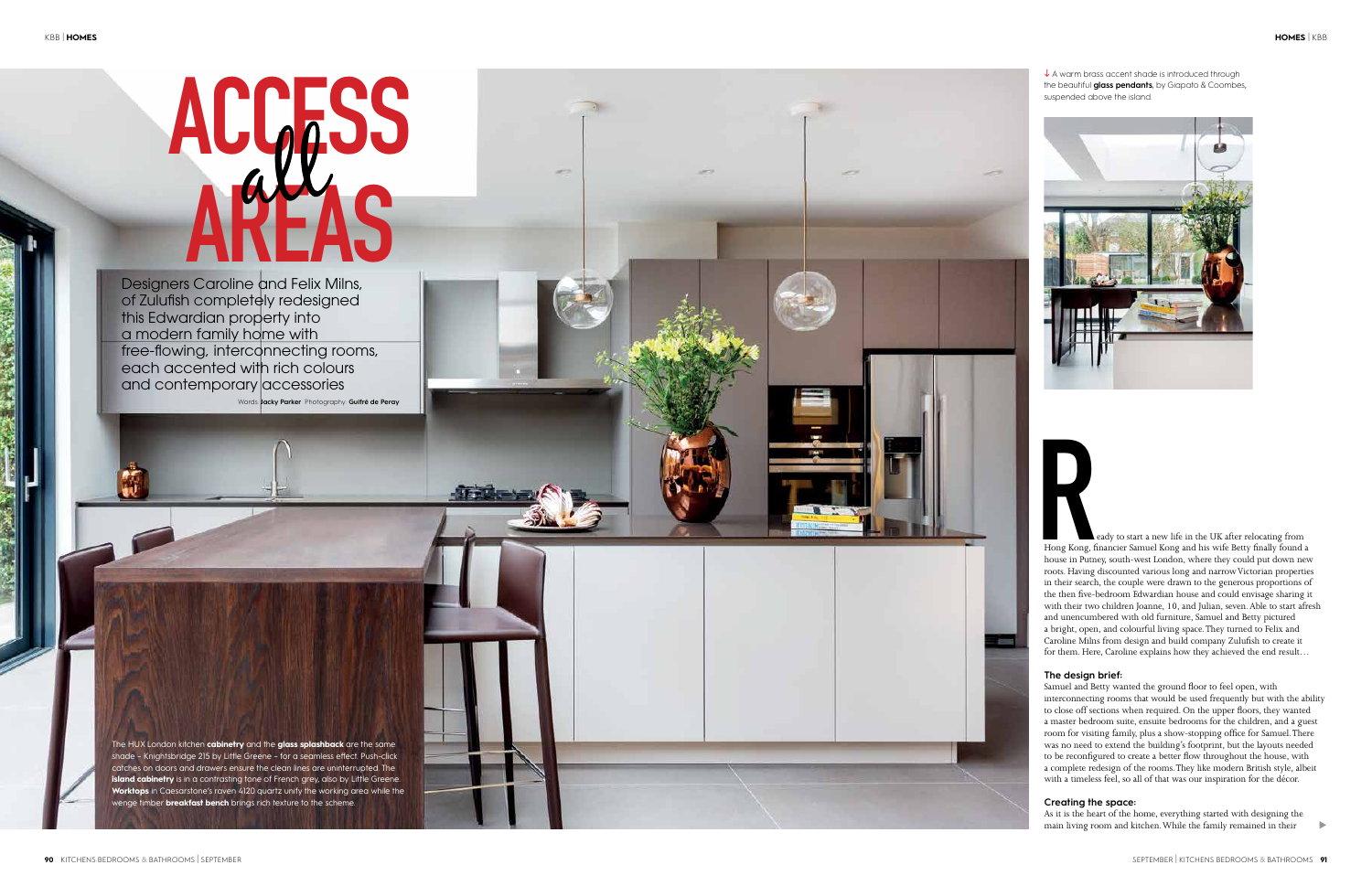# **ACGESS** AREAS



Designers Caroline and Felix Milns, of Zulufish completely redesigned this Edwardian property into a modern family home with free-flowing, interconnecting rooms, each accented with rich colours and contemporary accessories Words: **Jacky Parker** Photography: **Guifré de Peray**   $\downarrow$  A warm brass accent shade is introduced through the beautiful **glass pendants**, by Giapato & Coombes, suspended above the island.



The HUX London kitchen **cabinetry** and the **glass splashback** are the same shade – Knightsbridge 215 by Little Greene – for a seamless effect. Push-click catches on doors and drawers ensure the clean lines are uninterrupted. The **island cabinetry** is in a contrasting tone of French grey, also by Little Greene. **Worktops** in Caesarstone's raven 4120 quartz unify the working area while the wenge timber **breakfast bench** brings rich texture to the scheme.

Hong Kong, f<br>house in Putn eady to start a new life in the UK after relocating from Hong Kong, financier Samuel Kong and his wife Betty finally found a house in Putney, south-west London, where they could put down new roots. Having discounted various long and narrow Victorian properties in their search, the couple were drawn to the generous proportions of the then five-bedroom Edwardian house and could envisage sharing it with their two children Joanne, 10, and Julian, seven. Able to start afresh and unencumbered with old furniture, Samuel and Betty pictured a bright, open, and colourful living space. They turned to Felix and Caroline Milns from design and build company Zulufish to create it for them. Here, Caroline explains how they achieved the end result…

## **The design brief:**

Samuel and Betty wanted the ground floor to feel open, with interconnecting rooms that would be used frequently but with the ability to close off sections when required. On the upper floors, they wanted a master bedroom suite, ensuite bedrooms for the children, and a guest room for visiting family, plus a show-stopping office for Samuel. There was no need to extend the building's footprint, but the layouts needed to be reconfigured to create a better flow throughout the house, with a complete redesign of the rooms. They like modern British style, albeit with a timeless feel, so all of that was our inspiration for the décor.

# **Creating the space:**

As it is the heart of the home, everything started with designing the main living room and kitchen. While the family remained in their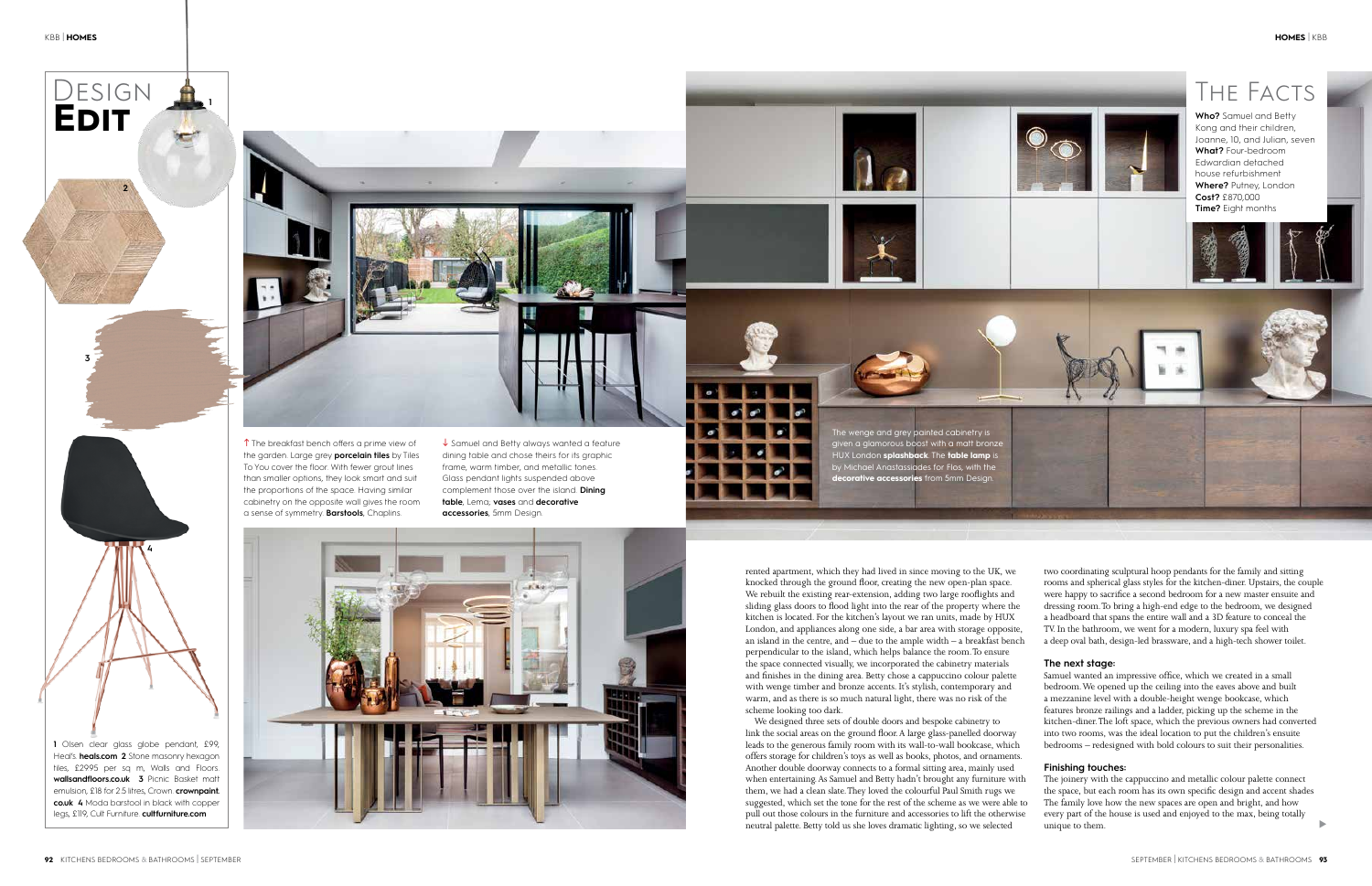rented apartment, which they had lived in since moving to the UK, we knocked through the ground floor, creating the new open-plan space. We rebuilt the existing rear-extension, adding two large rooflights and sliding glass doors to flood light into the rear of the property where the kitchen is located. For the kitchen's layout we ran units, made by HUX London, and appliances along one side, a bar area with storage opposite, an island in the centre, and  $-$  due to the ample width  $-$  a breakfast bench perpendicular to the island, which helps balance the room. To ensure the space connected visually, we incorporated the cabinetry materials and finishes in the dining area. Betty chose a cappuccino colour palette with wenge timber and bronze accents. It's stylish, contemporary and warm, and as there is so much natural light, there was no risk of the scheme looking too dark.

We designed three sets of double doors and bespoke cabinetry to link the social areas on the ground floor. A large glass-panelled doorway leads to the generous family room with its wall-to-wall bookcase, which offers storage for children's toys as well as books, photos, and ornaments. Another double doorway connects to a formal sitting area, mainly used when entertaining. As Samuel and Betty hadn't brought any furniture with them, we had a clean slate. They loved the colourful Paul Smith rugs we suggested, which set the tone for the rest of the scheme as we were able to pull out those colours in the furniture and accessories to lift the otherwise neutral palette. Betty told us she loves dramatic lighting, so we selected

two coordinating sculptural hoop pendants for the family and sitting rooms and spherical glass styles for the kitchen-diner. Upstairs, the couple were happy to sacrifice a second bedroom for a new master ensuite and dressing room. To bring a high-end edge to the bedroom, we designed a headboard that spans the entire wall and a 3D feature to conceal the TV. In the bathroom, we went for a modern, luxury spa feel with a deep oval bath, design-led brassware, and a high-tech shower toilet.



### **The next stage:**

Samuel wanted an impressive office, which we created in a small bedroom. We opened up the ceiling into the eaves above and built a mezzanine level with a double-height wenge bookcase, which features bronze railings and a ladder, picking up the scheme in the kitchen-diner. The loft space, which the previous owners had converted into two rooms, was the ideal location to put the children's ensuite bedrooms – redesigned with bold colours to suit their personalities.

### **Finishing touches:**

The joinery with the cappuccino and metallic colour palette connect the space, but each room has its own specific design and accent shades The family love how the new spaces are open and bright, and how every part of the house is used and enjoyed to the max, being totally unique to them.

**1** Olsen clear glass globe pendant, £99, Heal's. **heals.com 2** Stone masonry hexagon tiles, £29.95 per sq m, Walls and Floors. **wallsandfloors.co.uk 3** Picnic Basket matt emulsion, £18 for 2.5 litres, Crown. **crownpaint. co.uk 4** Moda barstool in black with copper legs, £119, Cult Furniture. **cultfurniture.com**

**1**

a sense of symmetry. **Barstools**, Chaplins.

**accessories**, 5mm Design.





**2**

DESIGN<br>**EDIT** 

**3**



u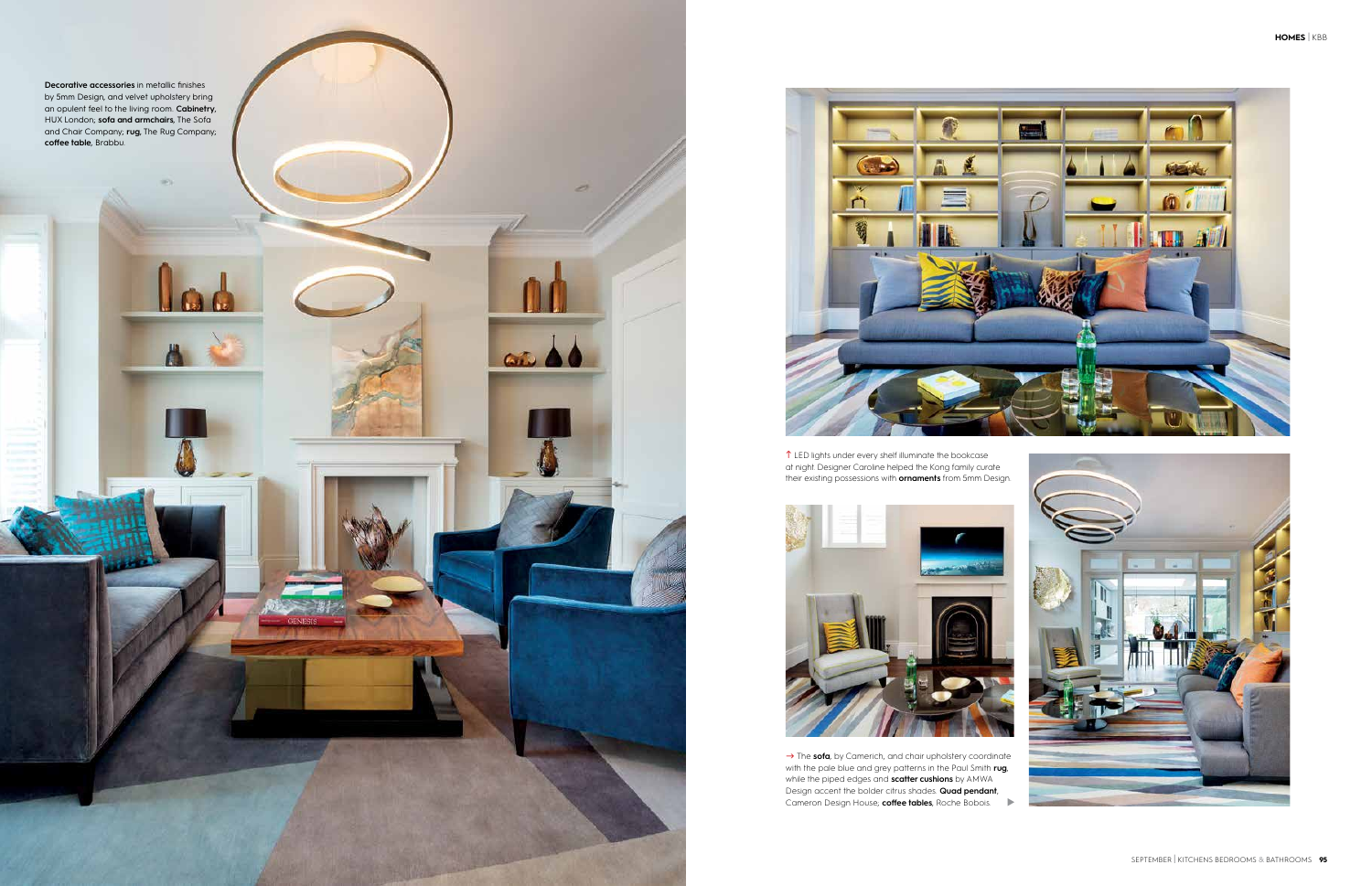

**Decorative accessories** in metallic finishes by 5mm Design, and velvet upholstery bring an opulent feel to the living room. **Cabinetry**, HUX London; **sofa and armchairs**, The Sofa and Chair Company; **rug**, The Rug Company; **coffee table**, Brabbu.





**1** LED lights under every shelf illuminate the bookcase at night. Designer Caroline helped the Kong family curate their existing possessions with **ornaments** from 5mm Design.



Cameron Design House; **coffee tables**, Roche Bobois.  $\rightarrow$  The sofa, by Camerich, and chair upholstery coordinate with the pale blue and grey patterns in the Paul Smith **rug**, while the piped edges and **scatter cushions** by AMWA Design accent the bolder citrus shades. **Quad pendant**,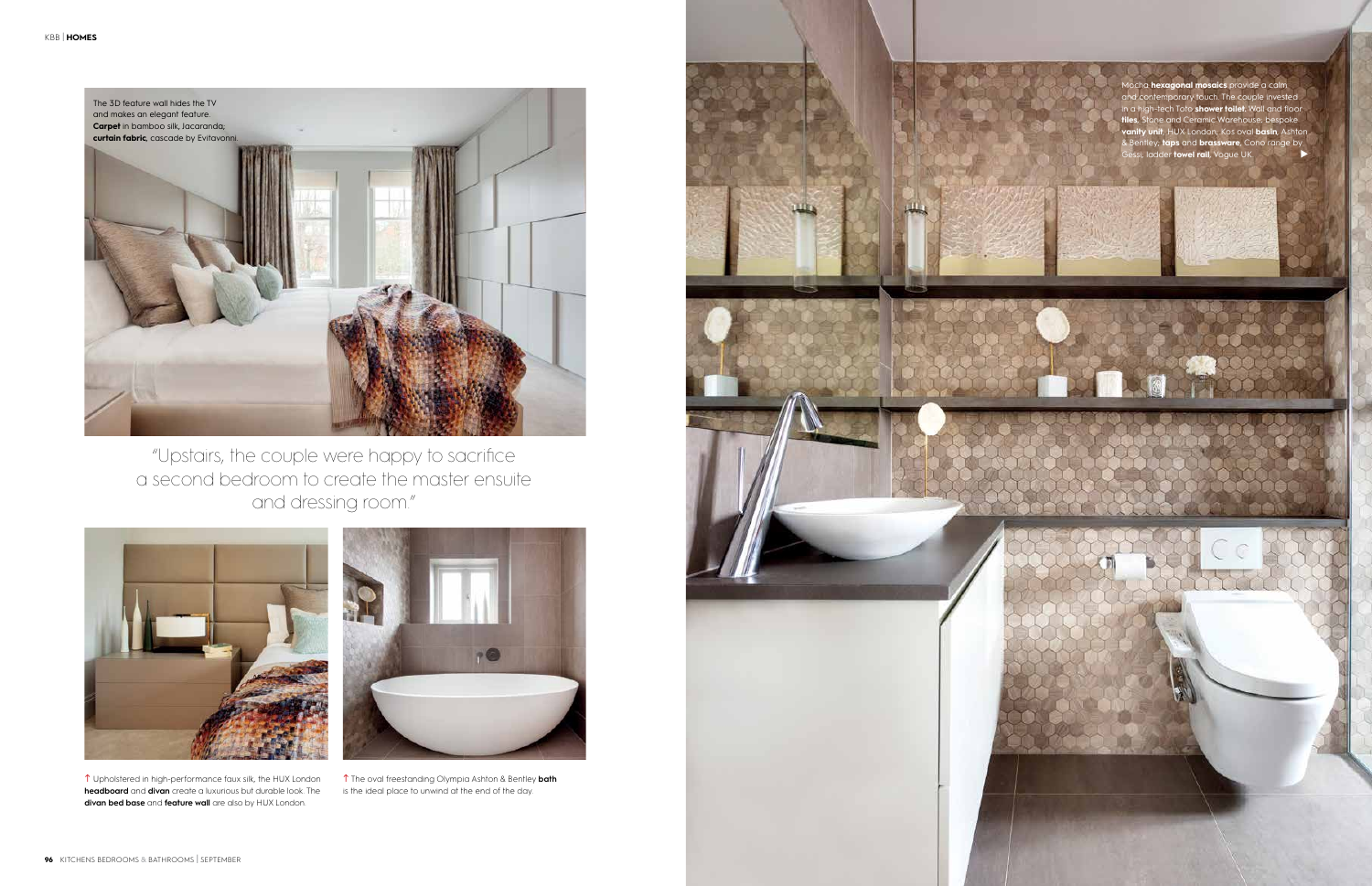Mocha **hexagonal mosaics** provide a calm mporary touch. The couple invested in a high-tech Toto **shower toilet.** Wall and floor **the and Ceramic Warehouse; bespoke vanity unit**, HUX London; Kos oval **basin**, Ashton & Bentley; **taps** and **brassware**, Cono range by Gessi; ladder **towel rail**, Vogue UK.







 Upholstered in high-performance faux silk, the HUX London **headboard** and **divan** create a luxurious but durable look. The **divan bed base** and **feature wall** are also by HUX London.



 The oval freestanding Olympia Ashton & Bentley **bath**  is the ideal place to unwind at the end of the day.

"Upstairs, the couple were happy to sacrifice a second bedroom to create the master ensuite and dressing room."